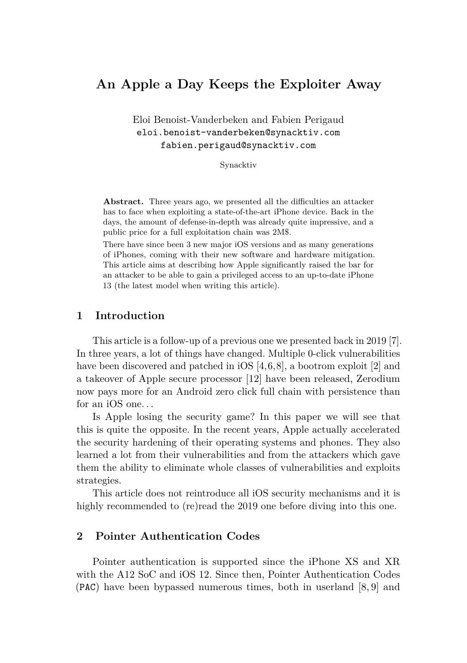# **An Apple a Day Keeps the Exploiter Away**

Eloi Benoist-Vanderbeken and Fabien Perigaud eloi.benoist-vanderbeken@synacktiv.com fabien.perigaud@synacktiv.com

Synacktiv

**Abstract.** Three years ago, we presented all the difficulties an attacker has to face when exploiting a state-of-the-art iPhone device. Back in the days, the amount of defense-in-depth was already quite impressive, and a public price for a full exploitation chain was 2M\$.

There have since been 3 new major iOS versions and as many generations of iPhones, coming with their new software and hardware mitigation. This article aims at describing how Apple significantly raised the bar for an attacker to be able to gain a privileged access to an up-to-date iPhone 13 (the latest model when writing this article).

## **1 Introduction**

This article is a follow-up of a previous one we presented back in 2019 [\[7\]](#page-12-0). In three years, a lot of things have changed. Multiple 0-click vulnerabilities have been discovered and patched in iOS [\[4,](#page-12-1) [6,](#page-12-2) [8\]](#page-12-3), a bootrom exploit [\[2\]](#page-12-4) and a takeover of Apple secure processor [\[12\]](#page-13-0) have been released, Zerodium now pays more for an Android zero click full chain with persistence than for an iOS one. . .

Is Apple losing the security game? In this paper we will see that this is quite the opposite. In the recent years, Apple actually accelerated the security hardening of their operating systems and phones. They also learned a lot from their vulnerabilities and from the attackers which gave them the ability to eliminate whole classes of vulnerabilities and exploits strategies.

This article does not reintroduce all iOS security mechanisms and it is highly recommended to (re)read the 2019 one before diving into this one.

## **2 Pointer Authentication Codes**

Pointer authentication is supported since the iPhone XS and XR with the A12 SoC and iOS 12. Since then, Pointer Authentication Codes (PAC) have been bypassed numerous times, both in userland [\[8,](#page-12-3) [9\]](#page-12-5) and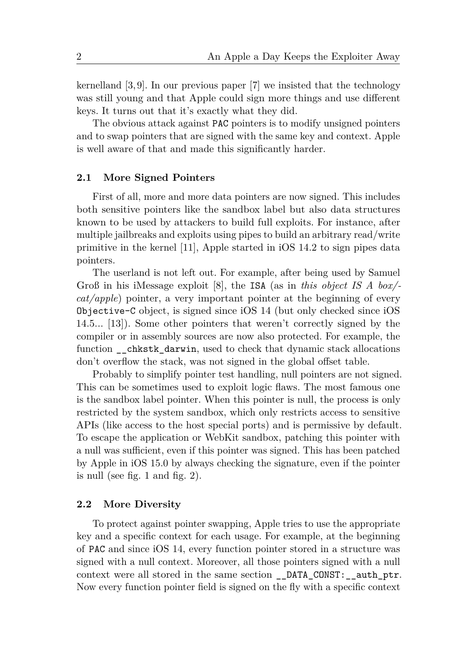kernelland [\[3,](#page-12-6) [9\]](#page-12-5). In our previous paper [\[7\]](#page-12-0) we insisted that the technology was still young and that Apple could sign more things and use different keys. It turns out that it's exactly what they did.

The obvious attack against PAC pointers is to modify unsigned pointers and to swap pointers that are signed with the same key and context. Apple is well aware of that and made this significantly harder.

## **2.1 More Signed Pointers**

First of all, more and more data pointers are now signed. This includes both sensitive pointers like the sandbox label but also data structures known to be used by attackers to build full exploits. For instance, after multiple jailbreaks and exploits using pipes to build an arbitrary read/write primitive in the kernel [\[11\]](#page-13-1), Apple started in iOS 14.2 to sign pipes data pointers.

The userland is not left out. For example, after being used by Samuel Groß in his iMessage exploit [\[8\]](#page-12-3), the ISA (as in *this object IS A box/ cat/apple*) pointer, a very important pointer at the beginning of every Objective-C object, is signed since iOS 14 (but only checked since iOS 14.5... [\[13\]](#page-13-2)). Some other pointers that weren't correctly signed by the compiler or in assembly sources are now also protected. For example, the function \_\_chkstk\_darwin, used to check that dynamic stack allocations don't overflow the stack, was not signed in the global offset table.

Probably to simplify pointer test handling, null pointers are not signed. This can be sometimes used to exploit logic flaws. The most famous one is the sandbox label pointer. When this pointer is null, the process is only restricted by the system sandbox, which only restricts access to sensitive APIs (like access to the host special ports) and is permissive by default. To escape the application or WebKit sandbox, patching this pointer with a null was sufficient, even if this pointer was signed. This has been patched by Apple in iOS 15.0 by always checking the signature, even if the pointer is null (see fig. [1](#page-2-0) and fig. [2\)](#page-2-0).

#### **2.2 More Diversity**

To protect against pointer swapping, Apple tries to use the appropriate key and a specific context for each usage. For example, at the beginning of PAC and since iOS 14, every function pointer stored in a structure was signed with a null context. Moreover, all those pointers signed with a null context were all stored in the same section \_\_DATA\_CONST:\_\_auth\_ptr. Now every function pointer field is signed on the fly with a specific context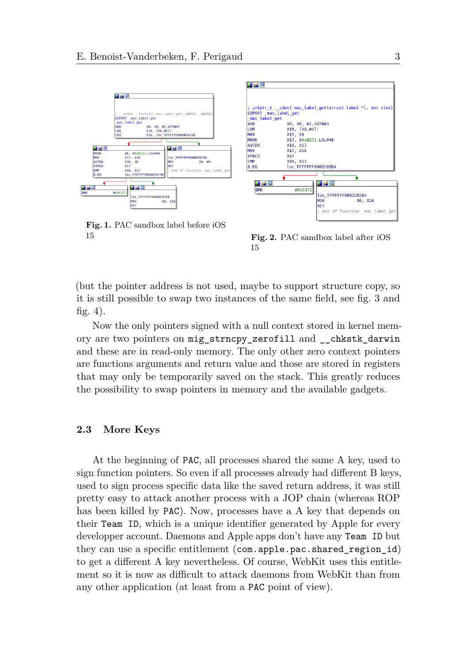<span id="page-2-0"></span>

**Fig. 1.** PAC sandbox label before iOS 15 **Fig. 2.** PAC sandbox label after iOS

15

(but the pointer address is not used, maybe to support structure copy, so it is still possible to swap two instances of the same field, see fig. [3](#page-3-0) and fig. [4\)](#page-3-0).

Now the only pointers signed with a null context stored in kernel memory are two pointers on mig\_strncpy\_zerofill and \_\_chkstk\_darwin and these are in read-only memory. The only other zero context pointers are functions arguments and return value and those are stored in registers that may only be temporarily saved on the stack. This greatly reduces the possibility to swap pointers in memory and the available gadgets.

## **2.3 More Keys**

At the beginning of PAC, all processes shared the same A key, used to sign function pointers. So even if all processes already had different B keys, used to sign process specific data like the saved return address, it was still pretty easy to attack another process with a JOP chain (whereas ROP has been killed by PAC). Now, processes have a A key that depends on their Team ID, which is a unique identifier generated by Apple for every developper account. Daemons and Apple apps don't have any Team ID but they can use a specific entitlement (com.apple.pac.shared\_region\_id) to get a different A key nevertheless. Of course, WebKit uses this entitlement so it is now as difficult to attack daemons from WebKit than from any other application (at least from a PAC point of view).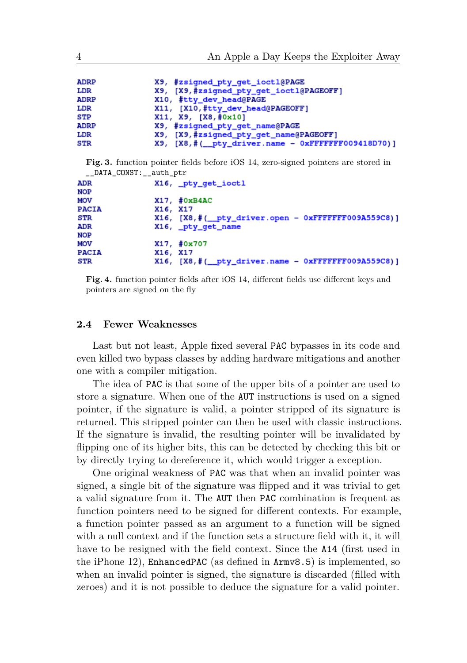<span id="page-3-0"></span>

| <b>ADRP</b> | X9, #zsigned_pty_get_ioctl@PAGE                     |
|-------------|-----------------------------------------------------|
| LDR         | X9, [X9,#zsigned_pty_get_ioctl@PAGEOFF]             |
| <b>ADRP</b> | X10, #tty_dev_head@PAGE                             |
| LDR         | X11, [X10,#tty_dev_head@PAGEOFF]                    |
| ${\tt STP}$ | X11, X9, [X8,#0x10]                                 |
| <b>ADRP</b> | X9, #zsigned_pty_get_name@PAGE                      |
| LDR         | X9, [X9,#zsigned_pty_get_name@PAGEOFF]              |
| <b>STR</b>  | $X9.$ [X8,#(_pty_driver.name - 0xFFFFFFF009418D70)] |

**Fig. 3.** function pointer fields before iOS 14, zero-signed pointers are stored in DATA\_CONST: \_\_auth\_ptr

| ADR          | X16, pty_get_ioctl                                                   |  |
|--------------|----------------------------------------------------------------------|--|
| NOP          |                                                                      |  |
| MOV          | $X17.$ # $0xB4AC$                                                    |  |
| <b>PACIA</b> | X16, X17                                                             |  |
| STR          | $X16$ , $[X8, # (\underline{pty\_driver.open - 0xFFFFFF009A559C8})]$ |  |
| ADR          | X16, _pty_get_name                                                   |  |
| NOP          |                                                                      |  |
| MOV          | X17, #0x707                                                          |  |
| <b>PACIA</b> | X16, X17                                                             |  |
| STR          | $X16$ , $[X8, # (\underline{$ pty}_driver.name - 0xFFFFFF009A559C8)] |  |
|              |                                                                      |  |

**Fig. 4.** function pointer fields after iOS 14, different fields use different keys and pointers are signed on the fly

#### **2.4 Fewer Weaknesses**

Last but not least, Apple fixed several PAC bypasses in its code and even killed two bypass classes by adding hardware mitigations and another one with a compiler mitigation.

The idea of PAC is that some of the upper bits of a pointer are used to store a signature. When one of the AUT instructions is used on a signed pointer, if the signature is valid, a pointer stripped of its signature is returned. This stripped pointer can then be used with classic instructions. If the signature is invalid, the resulting pointer will be invalidated by flipping one of its higher bits, this can be detected by checking this bit or by directly trying to dereference it, which would trigger a exception.

One original weakness of PAC was that when an invalid pointer was signed, a single bit of the signature was flipped and it was trivial to get a valid signature from it. The AUT then PAC combination is frequent as function pointers need to be signed for different contexts. For example, a function pointer passed as an argument to a function will be signed with a null context and if the function sets a structure field with it, it will have to be resigned with the field context. Since the A14 (first used in the iPhone 12), EnhancedPAC (as defined in Armv8.5) is implemented, so when an invalid pointer is signed, the signature is discarded (filled with zeroes) and it is not possible to deduce the signature for a valid pointer.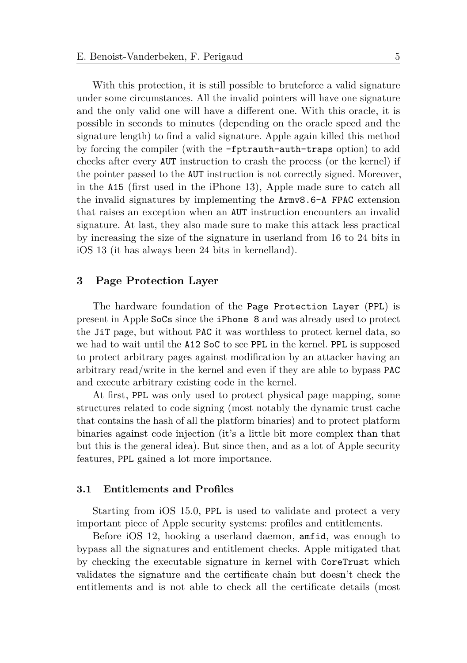With this protection, it is still possible to bruteforce a valid signature under some circumstances. All the invalid pointers will have one signature and the only valid one will have a different one. With this oracle, it is possible in seconds to minutes (depending on the oracle speed and the signature length) to find a valid signature. Apple again killed this method by forcing the compiler (with the -fptrauth-auth-traps option) to add checks after every AUT instruction to crash the process (or the kernel) if the pointer passed to the AUT instruction is not correctly signed. Moreover, in the A15 (first used in the iPhone 13), Apple made sure to catch all the invalid signatures by implementing the Armv8.6-A FPAC extension that raises an exception when an AUT instruction encounters an invalid signature. At last, they also made sure to make this attack less practical by increasing the size of the signature in userland from 16 to 24 bits in iOS 13 (it has always been 24 bits in kernelland).

## **3 Page Protection Layer**

The hardware foundation of the Page Protection Layer (PPL) is present in Apple SoCs since the iPhone 8 and was already used to protect the JiT page, but without PAC it was worthless to protect kernel data, so we had to wait until the A12 SoC to see PPL in the kernel. PPL is supposed to protect arbitrary pages against modification by an attacker having an arbitrary read/write in the kernel and even if they are able to bypass PAC and execute arbitrary existing code in the kernel.

At first, PPL was only used to protect physical page mapping, some structures related to code signing (most notably the dynamic trust cache that contains the hash of all the platform binaries) and to protect platform binaries against code injection (it's a little bit more complex than that but this is the general idea). But since then, and as a lot of Apple security features, PPL gained a lot more importance.

#### **3.1 Entitlements and Profiles**

Starting from iOS 15.0, PPL is used to validate and protect a very important piece of Apple security systems: profiles and entitlements.

Before iOS 12, hooking a userland daemon, amfid, was enough to bypass all the signatures and entitlement checks. Apple mitigated that by checking the executable signature in kernel with CoreTrust which validates the signature and the certificate chain but doesn't check the entitlements and is not able to check all the certificate details (most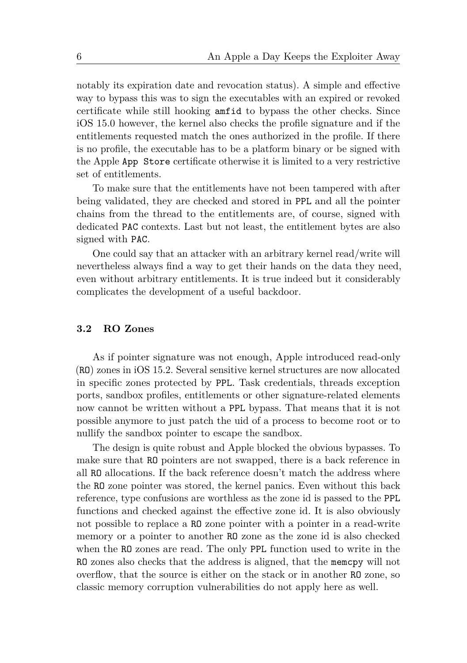notably its expiration date and revocation status). A simple and effective way to bypass this was to sign the executables with an expired or revoked certificate while still hooking amfid to bypass the other checks. Since iOS 15.0 however, the kernel also checks the profile signature and if the entitlements requested match the ones authorized in the profile. If there is no profile, the executable has to be a platform binary or be signed with the Apple App Store certificate otherwise it is limited to a very restrictive set of entitlements.

To make sure that the entitlements have not been tampered with after being validated, they are checked and stored in PPL and all the pointer chains from the thread to the entitlements are, of course, signed with dedicated PAC contexts. Last but not least, the entitlement bytes are also signed with PAC.

One could say that an attacker with an arbitrary kernel read/write will nevertheless always find a way to get their hands on the data they need, even without arbitrary entitlements. It is true indeed but it considerably complicates the development of a useful backdoor.

## <span id="page-5-0"></span>**3.2 RO Zones**

As if pointer signature was not enough, Apple introduced read-only (RO) zones in iOS 15.2. Several sensitive kernel structures are now allocated in specific zones protected by PPL. Task credentials, threads exception ports, sandbox profiles, entitlements or other signature-related elements now cannot be written without a PPL bypass. That means that it is not possible anymore to just patch the uid of a process to become root or to nullify the sandbox pointer to escape the sandbox.

The design is quite robust and Apple blocked the obvious bypasses. To make sure that RO pointers are not swapped, there is a back reference in all RO allocations. If the back reference doesn't match the address where the RO zone pointer was stored, the kernel panics. Even without this back reference, type confusions are worthless as the zone id is passed to the PPL functions and checked against the effective zone id. It is also obviously not possible to replace a RO zone pointer with a pointer in a read-write memory or a pointer to another RO zone as the zone id is also checked when the RO zones are read. The only PPL function used to write in the RO zones also checks that the address is aligned, that the memcpy will not overflow, that the source is either on the stack or in another RO zone, so classic memory corruption vulnerabilities do not apply here as well.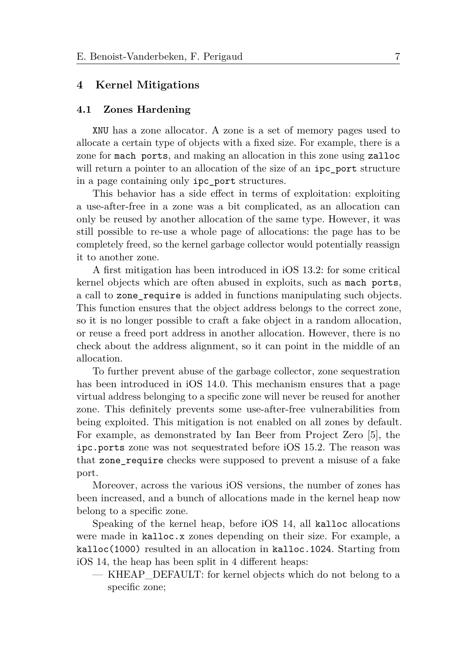## **4 Kernel Mitigations**

#### **4.1 Zones Hardening**

XNU has a zone allocator. A zone is a set of memory pages used to allocate a certain type of objects with a fixed size. For example, there is a zone for mach ports, and making an allocation in this zone using zalloc will return a pointer to an allocation of the size of an ipc\_port structure in a page containing only ipc\_port structures.

This behavior has a side effect in terms of exploitation: exploiting a use-after-free in a zone was a bit complicated, as an allocation can only be reused by another allocation of the same type. However, it was still possible to re-use a whole page of allocations: the page has to be completely freed, so the kernel garbage collector would potentially reassign it to another zone.

A first mitigation has been introduced in iOS 13.2: for some critical kernel objects which are often abused in exploits, such as mach ports, a call to zone\_require is added in functions manipulating such objects. This function ensures that the object address belongs to the correct zone, so it is no longer possible to craft a fake object in a random allocation, or reuse a freed port address in another allocation. However, there is no check about the address alignment, so it can point in the middle of an allocation.

To further prevent abuse of the garbage collector, zone sequestration has been introduced in iOS 14.0. This mechanism ensures that a page virtual address belonging to a specific zone will never be reused for another zone. This definitely prevents some use-after-free vulnerabilities from being exploited. This mitigation is not enabled on all zones by default. For example, as demonstrated by Ian Beer from Project Zero [\[5\]](#page-12-7), the ipc.ports zone was not sequestrated before iOS 15.2. The reason was that zone\_require checks were supposed to prevent a misuse of a fake port.

Moreover, across the various iOS versions, the number of zones has been increased, and a bunch of allocations made in the kernel heap now belong to a specific zone.

Speaking of the kernel heap, before iOS 14, all kalloc allocations were made in kalloc.x zones depending on their size. For example, a kalloc(1000) resulted in an allocation in kalloc.1024. Starting from iOS 14, the heap has been split in 4 different heaps:

— KHEAP\_DEFAULT: for kernel objects which do not belong to a specific zone;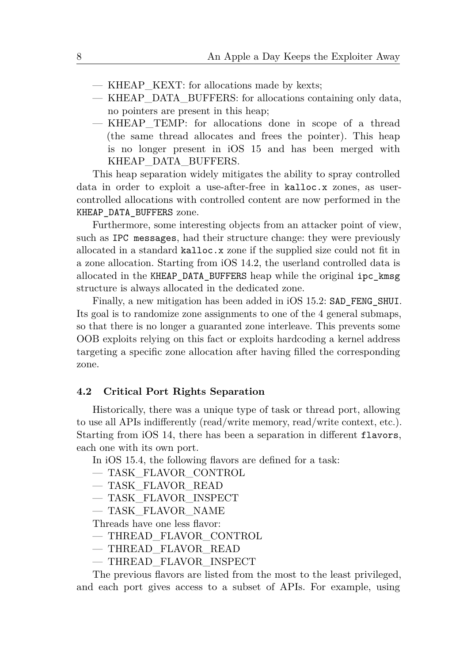- KHEAP\_KEXT: for allocations made by kexts;
- KHEAP\_DATA\_BUFFERS: for allocations containing only data, no pointers are present in this heap;
- KHEAP\_TEMP: for allocations done in scope of a thread (the same thread allocates and frees the pointer). This heap is no longer present in iOS 15 and has been merged with KHEAP\_DATA\_BUFFERS.

This heap separation widely mitigates the ability to spray controlled data in order to exploit a use-after-free in kalloc.x zones, as usercontrolled allocations with controlled content are now performed in the KHEAP\_DATA\_BUFFERS zone.

Furthermore, some interesting objects from an attacker point of view, such as IPC messages, had their structure change: they were previously allocated in a standard kalloc.x zone if the supplied size could not fit in a zone allocation. Starting from iOS 14.2, the userland controlled data is allocated in the KHEAP\_DATA\_BUFFERS heap while the original ipc\_kmsg structure is always allocated in the dedicated zone.

Finally, a new mitigation has been added in iOS 15.2: SAD\_FENG\_SHUI. Its goal is to randomize zone assignments to one of the 4 general submaps, so that there is no longer a guaranted zone interleave. This prevents some OOB exploits relying on this fact or exploits hardcoding a kernel address targeting a specific zone allocation after having filled the corresponding zone.

## **4.2 Critical Port Rights Separation**

Historically, there was a unique type of task or thread port, allowing to use all APIs indifferently (read/write memory, read/write context, etc.). Starting from iOS 14, there has been a separation in different flavors, each one with its own port.

In iOS 15.4, the following flavors are defined for a task:

- TASK\_FLAVOR\_CONTROL
- TASK\_FLAVOR\_READ
- TASK\_FLAVOR\_INSPECT
- TASK\_FLAVOR\_NAME

Threads have one less flavor:

- THREAD\_FLAVOR\_CONTROL
- THREAD\_FLAVOR\_READ
- THREAD\_FLAVOR\_INSPECT

The previous flavors are listed from the most to the least privileged, and each port gives access to a subset of APIs. For example, using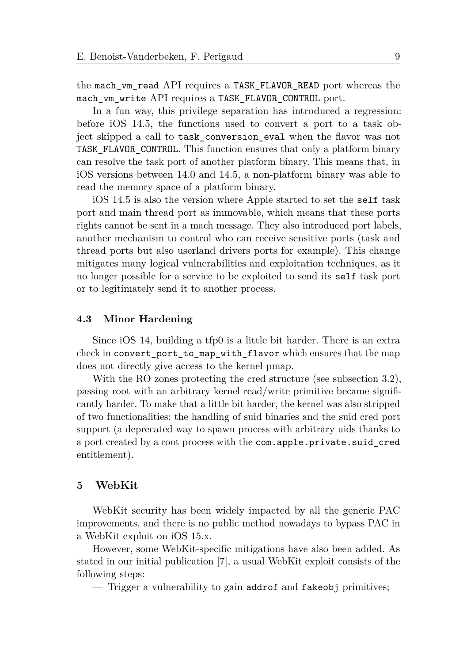the mach\_vm\_read API requires a TASK\_FLAVOR\_READ port whereas the mach\_vm\_write API requires a TASK\_FLAVOR\_CONTROL port.

In a fun way, this privilege separation has introduced a regression: before iOS 14.5, the functions used to convert a port to a task object skipped a call to task\_conversion\_eval when the flavor was not TASK\_FLAVOR\_CONTROL. This function ensures that only a platform binary can resolve the task port of another platform binary. This means that, in iOS versions between 14.0 and 14.5, a non-platform binary was able to read the memory space of a platform binary.

iOS 14.5 is also the version where Apple started to set the self task port and main thread port as immovable, which means that these ports rights cannot be sent in a mach message. They also introduced port labels, another mechanism to control who can receive sensitive ports (task and thread ports but also userland drivers ports for example). This change mitigates many logical vulnerabilities and exploitation techniques, as it no longer possible for a service to be exploited to send its self task port or to legitimately send it to another process.

## **4.3 Minor Hardening**

Since iOS 14, building a tfp0 is a little bit harder. There is an extra check in convert\_port\_to\_map\_with\_flavor which ensures that the map does not directly give access to the kernel pmap.

With the RO zones protecting the cred structure (see subsection [3.2\)](#page-5-0), passing root with an arbitrary kernel read/write primitive became significantly harder. To make that a little bit harder, the kernel was also stripped of two functionalities: the handling of suid binaries and the suid cred port support (a deprecated way to spawn process with arbitrary uids thanks to a port created by a root process with the com.apple.private.suid\_cred entitlement).

## **5 WebKit**

WebKit security has been widely impacted by all the generic PAC improvements, and there is no public method nowadays to bypass PAC in a WebKit exploit on iOS 15.x.

However, some WebKit-specific mitigations have also been added. As stated in our initial publication [\[7\]](#page-12-0), a usual WebKit exploit consists of the following steps:

— Trigger a vulnerability to gain addrof and fakeobj primitives;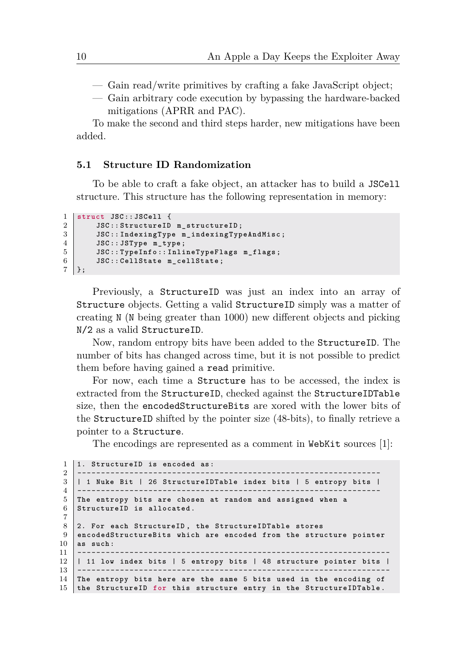— Gain read/write primitives by crafting a fake JavaScript object;

— Gain arbitrary code execution by bypassing the hardware-backed mitigations (APRR and PAC).

To make the second and third steps harder, new mitigations have been added.

## **5.1 Structure ID Randomization**

To be able to craft a fake object, an attacker has to build a JSCell structure. This structure has the following representation in memory:

```
1 struct JSC :: JSCell {
2 JSC :: StructureID m_structureID ;
3 JSC :: IndexingType m_indexingTypeAndMisc ;
4 JSC :: JSType m_type ;
5 JSC :: TypeInfo :: InlineTypeFlags m_flags ;
6 JSC :: CellState m_cellState ;
7 };
```
Previously, a StructureID was just an index into an array of Structure objects. Getting a valid StructureID simply was a matter of creating N (N being greater than 1000) new different objects and picking N/2 as a valid StructureID.

Now, random entropy bits have been added to the StructureID. The number of bits has changed across time, but it is not possible to predict them before having gained a read primitive.

For now, each time a Structure has to be accessed, the index is extracted from the StructureID, checked against the StructureIDTable size, then the encodedStructureBits are xored with the lower bits of the StructureID shifted by the pointer size (48-bits), to finally retrieve a pointer to a Structure.

The encodings are represented as a comment in WebKit sources [\[1\]](#page-12-8):

```
1 1. StructureID is encoded as:
2 ------------------------------------
3 | 1 Nuke Bit | 26 StructureIDTable index bits | 5 entropy bits |
4 ----------------------------------------------------------------
5 The entropy bits are chosen at random and assigned when a
6 StructureID is allocated .
7
8 2. For each StructureID , the StructureIDTable stores
9 encodedStructureBits which are encoded from the structure pointer
10 as such :
11 ------------------------------------------------------------------
12 | 11 low index bits | 5 entropy bits | 48 structure pointer bits |
13 ------------------------------------------------------------------
14 The entropy bits here are the same 5 bits used in the encoding of
15 the StructureID for this structure entry in the StructureIDTable .
```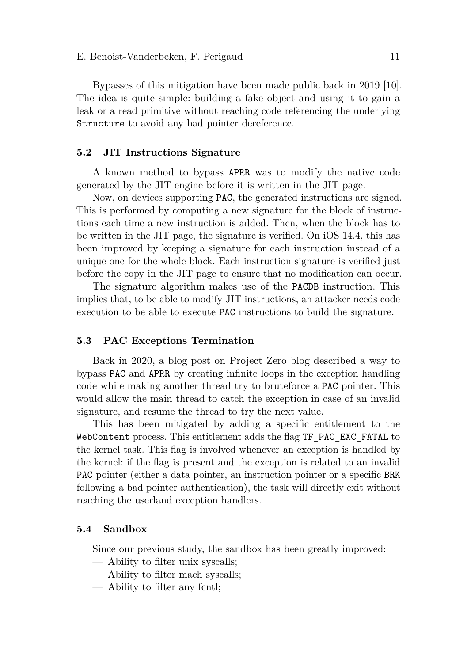Bypasses of this mitigation have been made public back in 2019 [\[10\]](#page-12-9). The idea is quite simple: building a fake object and using it to gain a leak or a read primitive without reaching code referencing the underlying Structure to avoid any bad pointer dereference.

#### **5.2 JIT Instructions Signature**

A known method to bypass APRR was to modify the native code generated by the JIT engine before it is written in the JIT page.

Now, on devices supporting PAC, the generated instructions are signed. This is performed by computing a new signature for the block of instructions each time a new instruction is added. Then, when the block has to be written in the JIT page, the signature is verified. On iOS 14.4, this has been improved by keeping a signature for each instruction instead of a unique one for the whole block. Each instruction signature is verified just before the copy in the JIT page to ensure that no modification can occur.

The signature algorithm makes use of the PACDB instruction. This implies that, to be able to modify JIT instructions, an attacker needs code execution to be able to execute PAC instructions to build the signature.

#### **5.3 PAC Exceptions Termination**

Back in 2020, a blog post on Project Zero blog described a way to bypass PAC and APRR by creating infinite loops in the exception handling code while making another thread try to bruteforce a PAC pointer. This would allow the main thread to catch the exception in case of an invalid signature, and resume the thread to try the next value.

This has been mitigated by adding a specific entitlement to the WebContent process. This entitlement adds the flag TF\_PAC\_EXC\_FATAL to the kernel task. This flag is involved whenever an exception is handled by the kernel: if the flag is present and the exception is related to an invalid PAC pointer (either a data pointer, an instruction pointer or a specific BRK following a bad pointer authentication), the task will directly exit without reaching the userland exception handlers.

## **5.4 Sandbox**

Since our previous study, the sandbox has been greatly improved:

- Ability to filter unix syscalls;
- Ability to filter mach syscalls;
- Ability to filter any fcntl;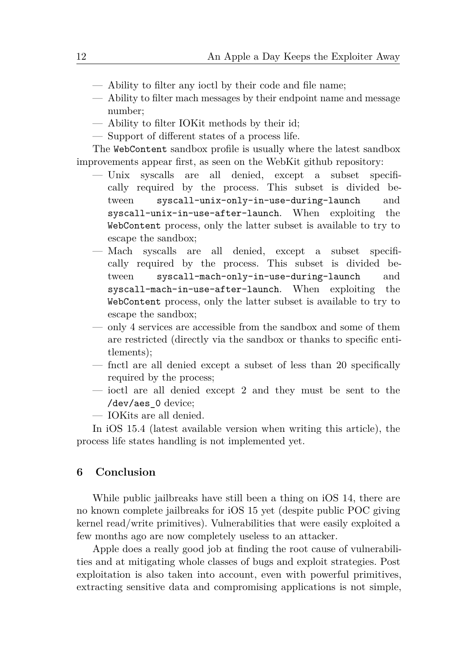- Ability to filter any ioctl by their code and file name;
- Ability to filter mach messages by their endpoint name and message number;
- Ability to filter IOKit methods by their id;
- Support of different states of a process life.

The WebContent sandbox profile is usually where the latest sandbox improvements appear first, as seen on the WebKit github repository:

- Unix syscalls are all denied, except a subset specifically required by the process. This subset is divided between syscall-unix-only-in-use-during-launch and syscall-unix-in-use-after-launch. When exploiting the WebContent process, only the latter subset is available to try to escape the sandbox;
- Mach syscalls are all denied, except a subset specifically required by the process. This subset is divided between syscall-mach-only-in-use-during-launch and syscall-mach-in-use-after-launch. When exploiting the WebContent process, only the latter subset is available to try to escape the sandbox;
- only 4 services are accessible from the sandbox and some of them are restricted (directly via the sandbox or thanks to specific entitlements);
- fnctl are all denied except a subset of less than 20 specifically required by the process;
- ioctl are all denied except 2 and they must be sent to the /dev/aes\_0 device;
- IOKits are all denied.

In iOS 15.4 (latest available version when writing this article), the process life states handling is not implemented yet.

## **6 Conclusion**

While public jailbreaks have still been a thing on iOS 14, there are no known complete jailbreaks for iOS 15 yet (despite public POC giving kernel read/write primitives). Vulnerabilities that were easily exploited a few months ago are now completely useless to an attacker.

Apple does a really good job at finding the root cause of vulnerabilities and at mitigating whole classes of bugs and exploit strategies. Post exploitation is also taken into account, even with powerful primitives, extracting sensitive data and compromising applications is not simple,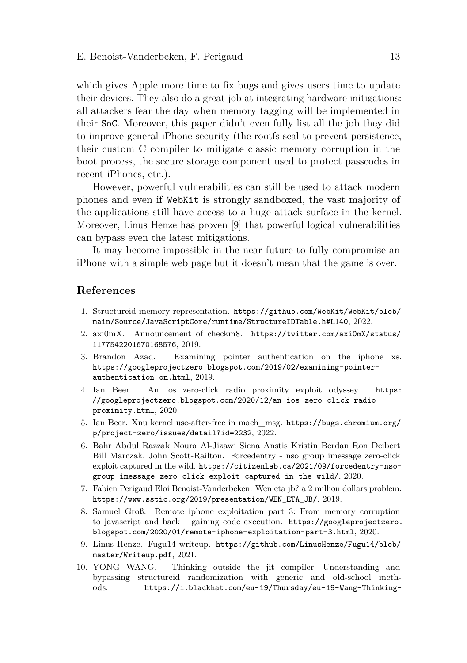which gives Apple more time to fix bugs and gives users time to update their devices. They also do a great job at integrating hardware mitigations: all attackers fear the day when memory tagging will be implemented in their SoC. Moreover, this paper didn't even fully list all the job they did to improve general iPhone security (the rootfs seal to prevent persistence, their custom C compiler to mitigate classic memory corruption in the boot process, the secure storage component used to protect passcodes in recent iPhones, etc.).

However, powerful vulnerabilities can still be used to attack modern phones and even if WebKit is strongly sandboxed, the vast majority of the applications still have access to a huge attack surface in the kernel. Moreover, Linus Henze has proven [\[9\]](#page-12-5) that powerful logical vulnerabilities can bypass even the latest mitigations.

It may become impossible in the near future to fully compromise an iPhone with a simple web page but it doesn't mean that the game is over.

## **References**

- <span id="page-12-8"></span>1. Structureid memory representation. [https://github.com/WebKit/WebKit/blob/](https://github.com/WebKit/WebKit/blob/main/Source/JavaScriptCore/runtime/StructureIDTable.h#L140) [main/Source/JavaScriptCore/runtime/StructureIDTable.h#L140](https://github.com/WebKit/WebKit/blob/main/Source/JavaScriptCore/runtime/StructureIDTable.h#L140), 2022.
- <span id="page-12-4"></span>2. axi0mX. Announcement of checkm8. [https://twitter.com/axi0mX/status/](https://twitter.com/axi0mX/status/1177542201670168576) [1177542201670168576](https://twitter.com/axi0mX/status/1177542201670168576), 2019.
- <span id="page-12-6"></span>3. Brandon Azad. Examining pointer authentication on the iphone xs. [https://googleprojectzero.blogspot.com/2019/02/examining-pointer](https://googleprojectzero.blogspot.com/2019/02/examining-pointer-authentication-on.html)[authentication-on.html](https://googleprojectzero.blogspot.com/2019/02/examining-pointer-authentication-on.html), 2019.
- <span id="page-12-1"></span>4. Ian Beer. An ios zero-click radio proximity exploit odyssey. [https:](https://googleprojectzero.blogspot.com/2020/12/an-ios-zero-click-radio-proximity.html) [//googleprojectzero.blogspot.com/2020/12/an-ios-zero-click-radio](https://googleprojectzero.blogspot.com/2020/12/an-ios-zero-click-radio-proximity.html)[proximity.html](https://googleprojectzero.blogspot.com/2020/12/an-ios-zero-click-radio-proximity.html), 2020.
- <span id="page-12-7"></span>5. Ian Beer. Xnu kernel use-after-free in mach\_msg. [https://bugs.chromium.org/](https://bugs.chromium.org/p/project-zero/issues/detail?id=2232) [p/project-zero/issues/detail?id=2232](https://bugs.chromium.org/p/project-zero/issues/detail?id=2232), 2022.
- <span id="page-12-2"></span>6. Bahr Abdul Razzak Noura Al-Jizawi Siena Anstis Kristin Berdan Ron Deibert Bill Marczak, John Scott-Railton. Forcedentry - nso group imessage zero-click exploit captured in the wild. [https://citizenlab.ca/2021/09/forcedentry-nso](https://citizenlab.ca/2021/09/forcedentry-nso-group-imessage-zero-click-exploit-captured-in-the-wild/)[group-imessage-zero-click-exploit-captured-in-the-wild/](https://citizenlab.ca/2021/09/forcedentry-nso-group-imessage-zero-click-exploit-captured-in-the-wild/), 2020.
- <span id="page-12-0"></span>7. Fabien Perigaud Eloi Benoist-Vanderbeken. Wen eta jb? a 2 million dollars problem. [https://www.sstic.org/2019/presentation/WEN\\_ETA\\_JB/](https://www.sstic.org/2019/presentation/WEN_ETA_JB/), 2019.
- <span id="page-12-3"></span>8. Samuel Groß. Remote iphone exploitation part 3: From memory corruption to javascript and back – gaining code execution. [https://googleprojectzero.](https://googleprojectzero.blogspot.com/2020/01/remote-iphone-exploitation-part-3.html) [blogspot.com/2020/01/remote-iphone-exploitation-part-3.html](https://googleprojectzero.blogspot.com/2020/01/remote-iphone-exploitation-part-3.html), 2020.
- <span id="page-12-5"></span>9. Linus Henze. Fugu14 writeup. [https://github.com/LinusHenze/Fugu14/blob/](https://github.com/LinusHenze/Fugu14/blob/master/Writeup.pdf) [master/Writeup.pdf](https://github.com/LinusHenze/Fugu14/blob/master/Writeup.pdf), 2021.
- <span id="page-12-9"></span>10. YONG WANG. Thinking outside the jit compiler: Understanding and bypassing structureid randomization with generic and old-school methods. [https://i.blackhat.com/eu-19/Thursday/eu-19-Wang-Thinking-](https://i.blackhat.com/eu-19/Thursday/eu-19-Wang-Thinking-Outside-The-JIT-Compiler-Understanding-And-Bypassing-StructureID-Randomization-With-Generic-And-Old-School-Methods.pdf)